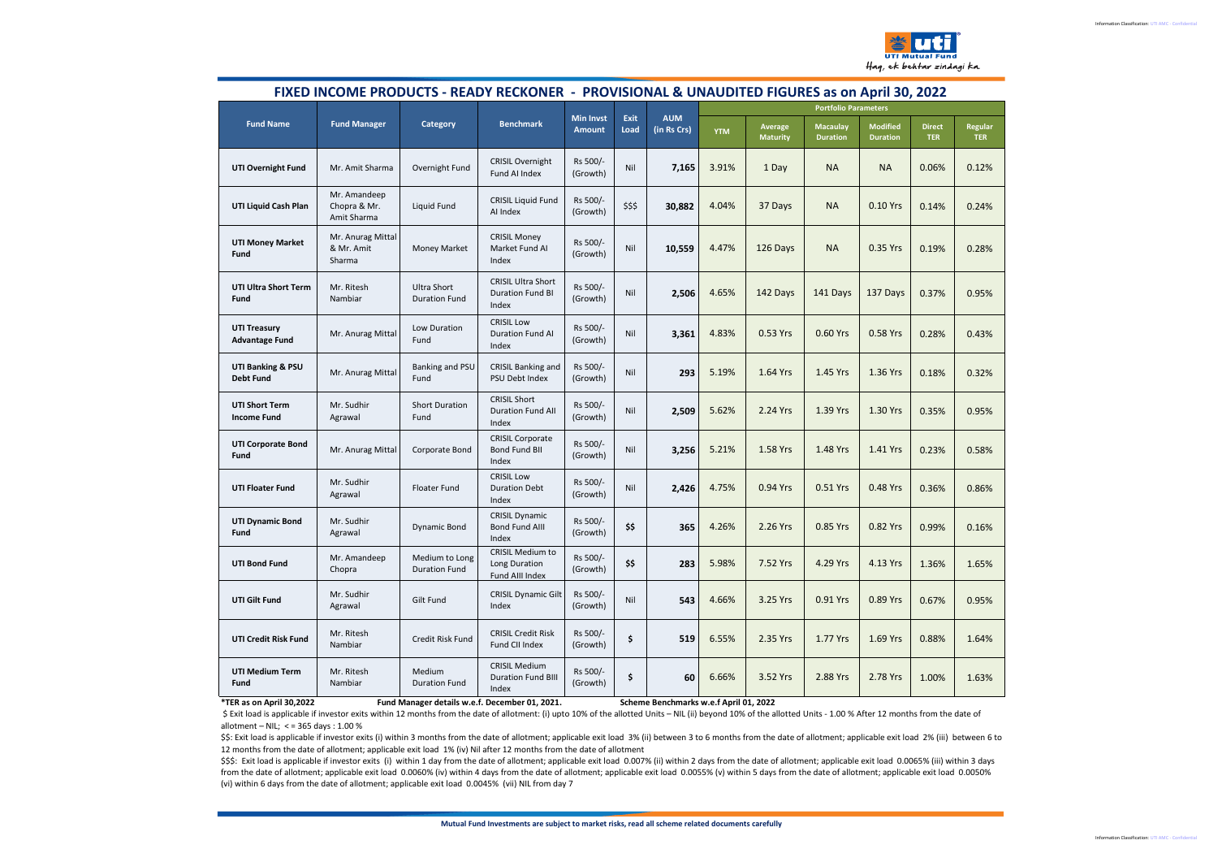Haq, ek behtar zindagi ka.

|                                              |                                             |                                        |                                                               | FIXED INCOME PRODUCTS - READY RECKONER - PROVISIONAL & UNAUDITED FIGURES as on April 30, 2022 |              |                           |                             |                            |                                    |                                    |                             |                              |
|----------------------------------------------|---------------------------------------------|----------------------------------------|---------------------------------------------------------------|-----------------------------------------------------------------------------------------------|--------------|---------------------------|-----------------------------|----------------------------|------------------------------------|------------------------------------|-----------------------------|------------------------------|
|                                              | <b>Fund Manager</b>                         | Category                               | <b>Benchmark</b>                                              | <b>Min Invst</b><br><b>Amount</b>                                                             | Exit<br>Load | <b>AUM</b><br>(in Rs Crs) | <b>Portfolio Parameters</b> |                            |                                    |                                    |                             |                              |
| <b>Fund Name</b>                             |                                             |                                        |                                                               |                                                                                               |              |                           | <b>YTM</b>                  | Average<br><b>Maturity</b> | <b>Macaulay</b><br><b>Duration</b> | <b>Modified</b><br><b>Duration</b> | <b>Direct</b><br><b>TER</b> | <b>Regular</b><br><b>TER</b> |
| UTI Overnight Fund                           | Mr. Amit Sharma                             | Overnight Fund                         | <b>CRISIL Overnight</b><br>Fund AI Index                      | Rs 500/-<br>(Growth)                                                                          | Nil          | 7,165                     | 3.91%                       | 1 Day                      | <b>NA</b>                          | <b>NA</b>                          | 0.06%                       | 0.12%                        |
| UTI Liquid Cash Plan                         | Mr. Amandeep<br>Chopra & Mr.<br>Amit Sharma | Liquid Fund                            | <b>CRISIL Liquid Fund</b><br>Al Index                         | Rs 500/-<br>(Growth)                                                                          | \$\$\$       | 30,882                    | 4.04%                       | 37 Days                    | <b>NA</b>                          | 0.10 Yrs                           | 0.14%                       | 0.24%                        |
| <b>UTI Money Market</b><br>Fund              | Mr. Anurag Mittal<br>& Mr. Amit<br>Sharma   | Money Market                           | <b>CRISIL Money</b><br>Market Fund AI<br>Index                | Rs 500/-<br>(Growth)                                                                          | Nil          | 10,559                    | 4.47%                       | 126 Days                   | <b>NA</b>                          | 0.35 Yrs                           | 0.19%                       | 0.28%                        |
| UTI Ultra Short Term<br>Fund                 | Mr. Ritesh<br>Nambiar                       | Ultra Short<br><b>Duration Fund</b>    | <b>CRISIL Ultra Short</b><br><b>Duration Fund BI</b><br>Index | Rs 500/-<br>(Growth)                                                                          | Nil          | 2,506                     | 4.65%                       | 142 Days                   | 141 Days                           | 137 Days                           | 0.37%                       | 0.95%                        |
| <b>UTI Treasury</b><br><b>Advantage Fund</b> | Mr. Anurag Mittal                           | Low Duration<br>Fund                   | <b>CRISIL Low</b><br><b>Duration Fund AI</b><br>Index         | Rs 500/-<br>(Growth)                                                                          | Nil          | 3,361                     | 4.83%                       | 0.53 Yrs                   | 0.60 Yrs                           | 0.58 Yrs                           | 0.28%                       | 0.43%                        |
| UTI Banking & PSU<br><b>Debt Fund</b>        | Mr. Anurag Mittal                           | Banking and PSU<br>Fund                | <b>CRISIL Banking and</b><br>PSU Debt Index                   | Rs 500/-<br>(Growth)                                                                          | Nil          | 293                       | 5.19%                       | 1.64 Yrs                   | 1.45 Yrs                           | 1.36 Yrs                           | 0.18%                       | 0.32%                        |
| <b>UTI Short Term</b><br><b>Income Fund</b>  | Mr. Sudhir<br>Agrawal                       | <b>Short Duration</b><br>Fund          | <b>CRISIL Short</b><br><b>Duration Fund All</b><br>Index      | Rs 500/-<br>(Growth)                                                                          | Nil          | 2,509                     | 5.62%                       | 2.24 Yrs                   | 1.39 Yrs                           | 1.30 Yrs                           | 0.35%                       | 0.95%                        |
| <b>UTI Corporate Bond</b><br>Fund            | Mr. Anurag Mittal                           | Corporate Bond                         | <b>CRISIL Corporate</b><br>Bond Fund BII<br>Index             | Rs 500/-<br>(Growth)                                                                          | Nil          | 3,256                     | 5.21%                       | 1.58 Yrs                   | 1.48 Yrs                           | 1.41 Yrs                           | 0.23%                       | 0.58%                        |
| <b>UTI Floater Fund</b>                      | Mr. Sudhir<br>Agrawal                       | Floater Fund                           | <b>CRISIL Low</b><br><b>Duration Debt</b><br>Index            | Rs 500/-<br>(Growth)                                                                          | Nil          | 2,426                     | 4.75%                       | 0.94 Yrs                   | 0.51 Yrs                           | 0.48 Yrs                           | 0.36%                       | 0.86%                        |
| <b>UTI Dynamic Bond</b><br>Fund              | Mr. Sudhir<br>Agrawal                       | <b>Dynamic Bond</b>                    | <b>CRISIL Dynamic</b><br><b>Bond Fund AIII</b><br>Index       | Rs 500/-<br>(Growth)                                                                          | \$\$         | 365                       | 4.26%                       | 2.26 Yrs                   | 0.85 Yrs                           | 0.82 Yrs                           | 0.99%                       | 0.16%                        |
| <b>UTI Bond Fund</b>                         | Mr. Amandeep<br>Chopra                      | Medium to Long<br><b>Duration Fund</b> | CRISIL Medium to<br>Long Duration<br>Fund AllI Index          | Rs 500/-<br>(Growth)                                                                          | \$\$         | 283                       | 5.98%                       | 7.52 Yrs                   | 4.29 Yrs                           | 4.13 Yrs                           | 1.36%                       | 1.65%                        |
| <b>UTI Gilt Fund</b>                         | Mr. Sudhir<br>Agrawal                       | Gilt Fund                              | <b>CRISIL Dynamic Gilt</b><br>Index                           | Rs 500/-<br>(Growth)                                                                          | Nil          | 543                       | 4.66%                       | 3.25 Yrs                   | 0.91 Yrs                           | 0.89 Yrs                           | 0.67%                       | 0.95%                        |
| UTI Credit Risk Fund                         | Mr. Ritesh<br>Nambiar                       | Credit Risk Fund                       | <b>CRISIL Credit Risk</b><br>Fund CII Index                   | Rs 500/-<br>(Growth)                                                                          | \$           | 519                       | 6.55%                       | 2.35 Yrs                   | 1.77 Yrs                           | 1.69 Yrs                           | 0.88%                       | 1.64%                        |
| <b>UTI Medium Term</b><br>Fund               | Mr. Ritesh<br>Nambiar                       | Medium<br><b>Duration Fund</b>         | <b>CRISIL Medium</b><br><b>Duration Fund BIII</b><br>Index    | Rs 500/-<br>(Growth)                                                                          | \$           | 60                        | 6.66%                       | 3.52 Yrs                   | 2.88 Yrs                           | 2.78 Yrs                           | 1.00%                       | 1.63%                        |

**\*TER as on April 30,2022 Fund Manager details w.e.f. December 01, 2021. Scheme Benchmarks w.e.f April 01, 2022**

\$ Exit load is applicable if investor exits within 12 months from the date of allotment: (i) upto 10% of the allotted Units – NIL (ii) beyond 10% of the allotted Units - 1.00 % After 12 months from the date of allotment – NIL; < = 365 days : 1.00 %

\$\$: Exit load is applicable if investor exits (i) within 3 months from the date of allotment; applicable exit load 3% (ii) between 3 to 6 months from the date of allotment; applicable exit load 2% (iii) between 6 to 12 months from the date of allotment; applicable exit load 1% (iv) Nil after 12 months from the date of allotment

\$\$\$: Exit load is applicable if investor exits (i) within 1 day from the date of allotment; applicable exit load 0.007% (ii) within 2 days from the date of allotment; applicable exit load 0.0065% (iii) within 3 days from the date of allotment; applicable exit load 0.0060% (iv) within 4 days from the date of allotment; applicable exit load 0.0055% (v) within 5 days from the date of allotment; applicable exit load 0.0050% (vi) within 6 days from the date of allotment; applicable exit load 0.0045% (vii) NIL from day 7